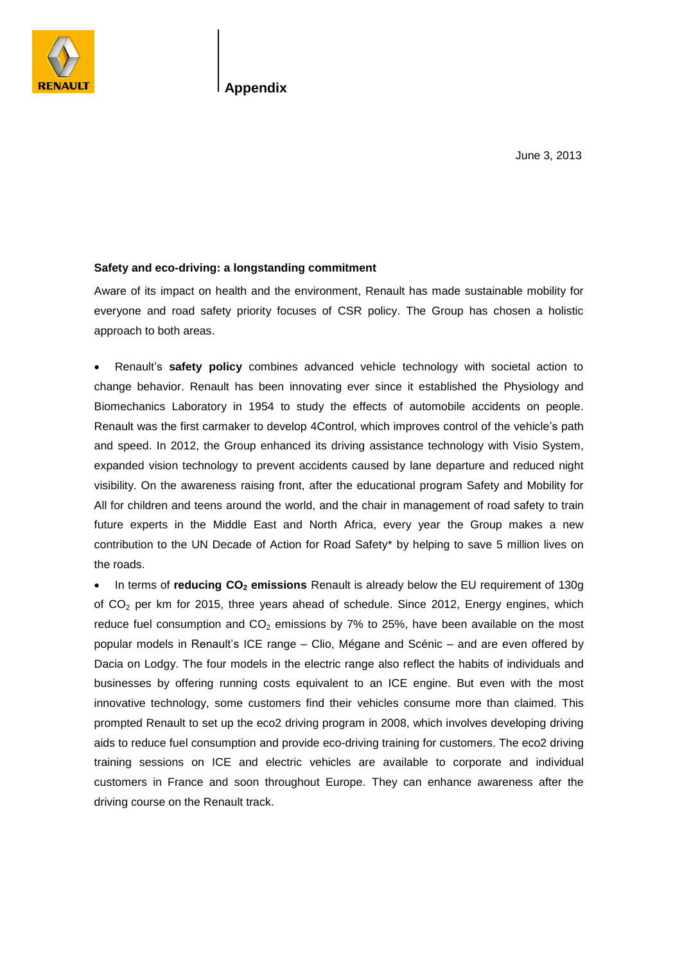

**Appendix**

June 3, 2013

## **Safety and eco-driving: a longstanding commitment**

Aware of its impact on health and the environment, Renault has made sustainable mobility for everyone and road safety priority focuses of CSR policy. The Group has chosen a holistic approach to both areas.

 Renault's **safety policy** combines advanced vehicle technology with societal action to change behavior. Renault has been innovating ever since it established the Physiology and Biomechanics Laboratory in 1954 to study the effects of automobile accidents on people. Renault was the first carmaker to develop 4Control, which improves control of the vehicle's path and speed. In 2012, the Group enhanced its driving assistance technology with Visio System, expanded vision technology to prevent accidents caused by lane departure and reduced night visibility. On the awareness raising front, after the educational program Safety and Mobility for All for children and teens around the world, and the chair in management of road safety to train future experts in the Middle East and North Africa, every year the Group makes a new contribution to the UN Decade of Action for Road Safety\* by helping to save 5 million lives on the roads.

 In terms of **reducing CO<sup>2</sup> emissions** Renault is already below the EU requirement of 130g of CO<sub>2</sub> per km for 2015, three years ahead of schedule. Since 2012, Energy engines, which reduce fuel consumption and  $CO<sub>2</sub>$  emissions by 7% to 25%, have been available on the most popular models in Renault's ICE range – Clio, Mégane and Scénic – and are even offered by Dacia on Lodgy. The four models in the electric range also reflect the habits of individuals and businesses by offering running costs equivalent to an ICE engine. But even with the most innovative technology, some customers find their vehicles consume more than claimed. This prompted Renault to set up the eco2 driving program in 2008, which involves developing driving aids to reduce fuel consumption and provide eco-driving training for customers. The eco2 driving training sessions on ICE and electric vehicles are available to corporate and individual customers in France and soon throughout Europe. They can enhance awareness after the driving course on the Renault track.